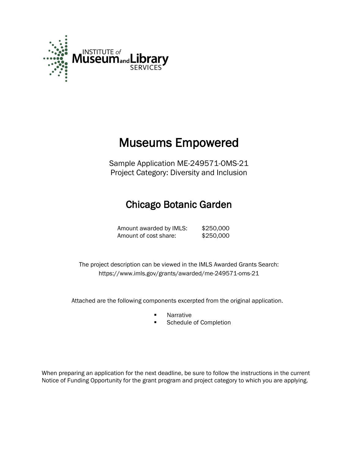

# Museums Empowered

Sample Application ME-249571-OMS-21 Project Category: Diversity and Inclusion

# Chicago Botanic Garden

Amount awarded by IMLS: \$250,000 Amount of cost share: \$250,000

 The project description can be viewed in the IMLS Awarded Grants Search: <https://www.imls.gov/grants/awarded/me-249571-oms-21>

Attached are the following components excerpted from the original application.

- **Narrative**
- Schedule of Completion

When preparing an application for the next deadline, be sure to follow the instructions in the current Notice of Funding Opportunity for the grant program and project category to which you are applying.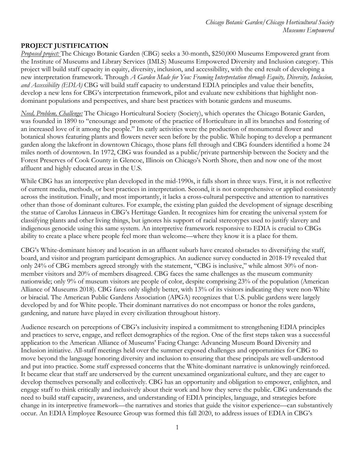#### **PROJECT JUSTIFICATION**

*Proposed project:* The Chicago Botanic Garden (CBG) seeks a 30-month, \$250,000 Museums Empowered grant from the Institute of Museums and Library Services (IMLS) Museums Empowered Diversity and Inclusion category. This project will build staff capacity in equity, diversity, inclusion, and accessibility, with the end result of developing a new interpretation framework. Through *A Garden Made for You: Framing Interpretation through Equity, Diversity, Inclusion, and Accessibility (EDIA)* CBG will build staff capacity to understand EDIA principles and value their benefits, develop a new lens for CBG's interpretation framework, pilot and evaluate new exhibitions that highlight nondominant populations and perspectives, and share best practices with botanic gardens and museums.

*Need, Problem, Challenge:* The Chicago Horticultural Society (Society), which operates the Chicago Botanic Garden, was founded in 1890 to "encourage and promote of the practice of Horticulture in all its branches and fostering of an increased love of it among the people." Its early activities were the production of monumental flower and botanical shows featuring plants and flowers never seen before by the public. While hoping to develop a permanent garden along the lakefront in downtown Chicago, those plans fell through and CBG founders identified a home 24 miles north of downtown. In 1972, CBG was founded as a public/private partnership between the Society and the Forest Preserves of Cook County in Glencoe, Illinois on Chicago's North Shore, then and now one of the most affluent and highly educated areas in the U.S.

While CBG has an interpretive plan developed in the mid-1990s, it falls short in three ways. First, it is not reflective of current media, methods, or best practices in interpretation. Second, it is not comprehensive or applied consistently across the institution. Finally, and most importantly, it lacks a cross-cultural perspective and attention to narratives other than those of dominant cultures. For example, the existing plan guided the development of signage describing the statue of Carolus Linnaeus in CBG's Hertitage Garden. It recognizes him for creating the universal system for classifying plants and other living things, but ignores his support of racial stereotypes used to justify slavery and indigenous genocide using this same system. An interpretive framework responsive to EDIA is crucial to CBGs ability to create a place where people feel more than welcome—where they know it is a place for them.

CBG's White-dominant history and location in an affluent suburb have created obstacles to diversifying the staff, board, and visitor and program participant demographics. An audience survey conducted in 2018-19 revealed that only 24% of CBG members agreed strongly with the statement, "CBG is inclusive," while almost 30% of nonmember visitors and 20% of members disagreed. CBG faces the same challenges as the museum community nationwide; only 9% of museum visitors are people of color, despite comprising 23% of the population (American Alliance of Museums 2018). CBG fares only slightly better, with 13% of its visitors indicating they were non-White or biracial. The American Public Gardens Association (APGA) recognizes that U.S. public gardens were largely developed by and for White people. Their dominant narratives do not encompass or honor the roles gardens, gardening, and nature have played in every civilization throughout history.

Audience research on perceptions of CBG's inclusivity inspired a commitment to strengthening EDIA principles and practices to serve, engage, and reflect demographics of the region. One of the first steps taken was a successful application to the American Alliance of Museums' Facing Change: Advancing Museum Board Diversity and Inclusion initiative. All-staff meetings held over the summer exposed challenges and opportunities for CBG to move beyond the language honoring diversity and inclusion to ensuring that these principals are well-understood and put into practice. Some staff expressed concerns that the White-dominant narrative is unknowingly reinforced. It became clear that staff are underserved by the current unexamined organizational culture, and they are eager to develop themselves personally and collectively. CBG has an opportunity and obligation to empower, enlighten, and engage staff to think critically and inclusively about their work and how they serve the public. CBG understands the need to build staff capacity, awareness, and understanding of EDIA principles, language, and strategies before change in its interpretive framework—the narratives and stories that guide the visitor experience—can substantively occur. An EDIA Employee Resource Group was formed this fall 2020, to address issues of EDIA in CBG's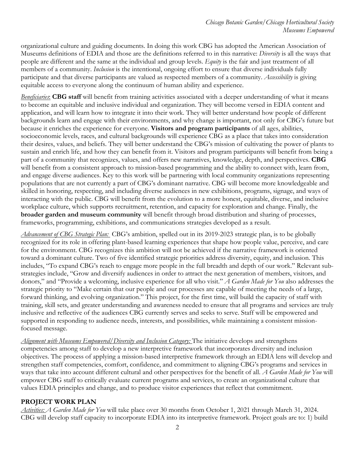organizational culture and guiding documents. In doing this work CBG has adopted the American Association of Museums definitions of EDIA and those are the definitions referred to in this narrative: *Diversity* is all the ways that people are different and the same at the individual and group levels. *Equity* is the fair and just treatment of all members of a community. *Inclusion* is the intentional, ongoing effort to ensure that diverse individuals fully participate and that diverse participants are valued as respected members of a community. *Accessibility* is giving equitable access to everyone along the continuum of human ability and experience.

*Beneficiaries*: **CBG staff** will benefit from training activities associated with a deeper understanding of what it means to become an equitable and inclusive individual and organization. They will become versed in EDIA content and application, and will learn how to integrate it into their work. They will better understand how people of different backgrounds learn and engage with their environments, and why change is important, not only for CBG's future but because it enriches the experience for everyone. **Visitors and program participants** of all ages, abilities, socioeconomic levels, races, and cultural backgrounds will experience CBG as a place that takes into consideration their desires, values, and beliefs. They will better understand the CBG's mission of cultivating the power of plants to sustain and enrich life, and how they can benefit from it. Visitors and program participants will benefit from being a part of a community that recognizes, values, and offers new narratives, knowledge, depth, and perspectives. **CBG** will benefit from a consistent approach to mission-based programming and the ability to connect with, learn from, and engage diverse audiences. Key to this work will be partnering with local community organizations representing populations that are not currently a part of CBG's dominant narrative. CBG will become more knowledgeable and skilled in honoring, respecting, and including diverse audiences in new exhibitions, programs, signage, and ways of interacting with the public. CBG will benefit from the evolution to a more honest, equitable, diverse, and inclusive workplace culture, which supports recruitment, retention, and capacity for exploration and change. Finally, the **broader garden and museum community** will benefit through broad distribution and sharing of processes, frameworks, programming, exhibitions, and communications strategies developed as a result.

*Advancement of CBG Strategic Plan:* CBG's ambition, spelled out in its 2019-2023 strategic plan, is to be globally recognized for its role in offering plant-based learning experiences that shape how people value, perceive, and care for the environment. CBG recognizes this ambition will not be achieved if the narrative framework is oriented toward a dominant culture. Two of five identified strategic priorities address diversity, equity, and inclusion. This includes, "To expand CBG's reach to engage more people in the full breadth and depth of our work." Relevant substrategies include, "Grow and diversify audiences in order to attract the next generation of members, visitors, and donors," and "Provide a welcoming, inclusive experience for all who visit." *A Garden Made for You* also addresses the strategic priority to "Make certain that our people and our processes are capable of meeting the needs of a large, forward thinking, and evolving organization." This project, for the first time, will build the capacity of staff with training, skill sets, and greater understanding and awareness needed to ensure that all programs and services are truly inclusive and reflective of the audiences CBG currently serves and seeks to serve. Staff will be empowered and supported in responding to audience needs, interests, and possibilities, while maintaining a consistent missionfocused message.

*Alignment with Museums Empowered/Diversity and Inclusion Category:* The initiative develops and strengthens competencies among staff to develop a new interpretive framework that incorporates diversity and inclusion objectives. The process of applying a mission-based interpretive framework through an EDIA lens will develop and strengthen staff competencies, comfort, confidence, and commitment to aligning CBG's programs and services in ways that take into account different cultural and other perspectives for the benefit of all. *A Garden Made for You* will empower CBG staff to critically evaluate current programs and services, to create an organizational culture that values EDIA principles and change, and to produce visitor experiences that reflect that commitment.

#### **PROJECT WORK PLAN**

*Activities: A Garden Made for You* will take place over 30 months from October 1, 2021 through March 31, 2024. CBG will develop staff capacity to incorporate EDIA into its interpretive framework. Project goals are to: 1) build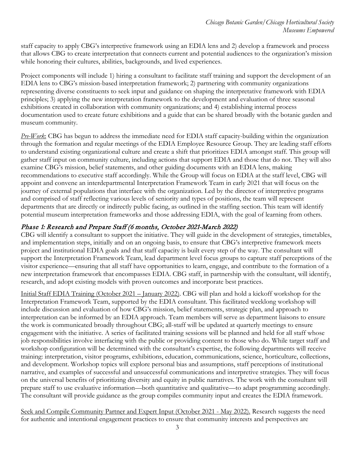staff capacity to apply CBG's interpretive framework using an EDIA lens and 2) develop a framework and process that allows CBG to create interpretation that connects current and potential audiences to the organization's mission while honoring their cultures, abilities, backgrounds, and lived experiences.

Project components will include 1) hiring a consultant to facilitate staff training and support the development of an EDIA lens to CBG's mission-based interpretation framework; 2) partnering with community organizations representing diverse constituents to seek input and guidance on shaping the interpretative framework with EDIA principles; 3) applying the new interpretation framework to the development and evaluation of three seasonal exhibitions created in collaboration with community organizations; and 4) establishing internal process documentation used to create future exhibitions and a guide that can be shared broadly with the botanic garden and museum community.

*Pre-Work*: CBG has begun to address the immediate need for EDIA staff capacity-building within the organization through the formation and regular meetings of the EDIA Employee Resource Group. They are leading staff efforts to understand existing organizational culture and create a shift that prioritizes EDIA amongst staff. This group will gather staff input on community culture, including actions that support EDIA and those that do not. They will also examine CBG's mission, belief statements, and other guiding documents with an EDIA lens, making recommendations to executive staff accordingly. While the Group will focus on EDIA at the staff level, CBG will appoint and convene an interdepartmental Interpretation Framework Team in early 2021 that will focus on the journey of external populations that interface with the organization. Led by the director of interpretive programs and comprised of staff reflecting various levels of seniority and types of positions, the team will represent departments that are directly or indirectly public facing, as outlined in the staffing section. This team will identify potential museum interpretation frameworks and those addressing EDIA, with the goal of learning from others.

# Phase 1: Research and Prepare Staff (6 months, October 2021-March 2022)

CBG will identify a consultant to support the initiative. They will guide in the development of strategies, timetables, and implementation steps, initially and on an ongoing basis, to ensure that CBG's interpretive framework meets project and institutional EDIA goals and that staff capacity is built every step of the way. The consultant will support the Interpretation Framework Team, lead department level focus groups to capture staff perceptions of the visitor experience—ensuring that all staff have opportunities to learn, engage, and contribute to the formation of a new interpretation framework that encompasses EDIA. CBG staff, in partnership with the consultant, will identify, research, and adopt existing models with proven outcomes and incorporate best practices.

Initial Staff EDIA Training (October 2021 – January 2022). CBG will plan and hold a kickoff workshop for the Interpretation Framework Team, supported by the EDIA consultant. This facilitated weeklong workshop will include discussion and evaluation of how CBG's mission, belief statements, strategic plan, and approach to interpretation can be informed by an EDIA approach. Team members will serve as department liaisons to ensure the work is communicated broadly throughout CBG; all-staff will be updated at quarterly meetings to ensure engagement with the initiative. A series of facilitated training sessions will be planned and held for all staff whose job responsibilities involve interfacing with the public or providing content to those who do. While target staff and workshop configuration will be determined with the consultant's expertise, the following departments will receive training: interpretation, visitor programs, exhibitions, education, communications, science, horticulture, collections, and development. Workshop topics will explore personal bias and assumptions, staff perceptions of institutional narrative, and examples of successful and unsuccessful communications and interpretive strategies. They will focus on the universal benefits of prioritizing diversity and equity in public narratives. The work with the consultant will prepare staff to use evaluative information—both quantitative and qualitative—to adapt programming accordingly. The consultant will provide guidance as the group compiles community input and creates the EDIA framework.

Seek and Compile Community Partner and Expert Input (October 2021 - May 2022). Research suggests the need for authentic and intentional engagement practices to ensure that community interests and perspectives are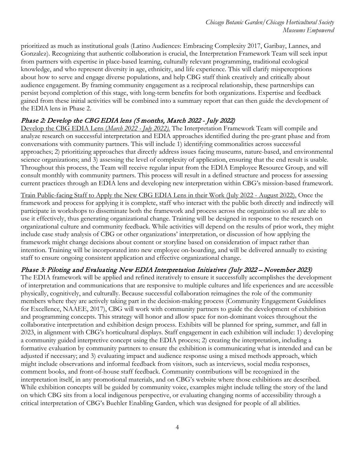prioritized as much as institutional goals (Latino Audiences: Embracing Complexity 2017, Garibay, Lannes, and Gonzalez). Recognizing that authentic collaboration is crucial, the Interpretation Framework Team will seek input from partners with expertise in place-based learning, culturally relevant programming, traditional ecological knowledge, and who represent diversity in age, ethnicity, and life experience. This will clarify misperceptions about how to serve and engage diverse populations, and help CBG staff think creatively and critically about audience engagement. By framing community engagement as a reciprocal relationship, these partnerships can persist beyond completion of this stage, with long-term benefits for both organizations. Expertise and feedback gained from these initial activities will be combined into a summary report that can then guide the development of the EDIA lens in Phase 2.

## Phase 2: Develop the CBG EDIA lens (5 months, March 2022 - July 2022)

Develop the CBG EDIA Lens (*March 2022 - July 2022).* The Interpretation Framework Team will compile and analyze research on successful interpretation and EDIA approaches identified during the pre-grant phase and from conversations with community partners. This will include 1) identifying commonalities across successful approaches; 2) prioritizing approaches that directly address issues facing museums, nature-based, and environmental science organizations; and 3) assessing the level of complexity of application, ensuring that the end result is usable. Throughout this process, the Team will receive regular input from the EDIA Employee Resource Group, and will consult monthly with community partners. This process will result in a defined structure and process for assessing current practices through an EDIA lens and developing new interpretation within CBG's mission-based framework.

Train Public-facing Staff to Apply the New CBG EDIA Lens in their Work (July 2022 - August 2022). Once the framework and process for applying it is complete, staff who interact with the public both directly and indirectly will participate in workshops to disseminate both the framework and process across the organization so all are able to use it effectively, thus generating organizational change. Training will be designed in response to the research on organizational culture and community feedback. While activities will depend on the results of prior work, they might include case study analysis of CBG or other organizations' interpretation, or discussion of how applying the framework might change decisions about content or storyline based on consideration of impact rather than intention. Training will be incorporated into new employee on-boarding, and will be delivered annually to existing staff to ensure ongoing consistent application and effective organizational change.

## Phase 3: Piloting and Evaluating New EDIA Interpretation Initiatives (July 2022 – November 2023)

The EDIA framework will be applied and refined iteratively to ensure it successfully accomplishes the development of interpretation and communications that are responsive to multiple cultures and life experiences and are accessible physically, cognitively, and culturally. Because successful collaboration reimagines the role of the community members where they are actively taking part in the decision-making process (Community Engagement Guidelines for Excellence, NAAEE, 2017), CBG will work with community partners to guide the development of exhibition and programming concepts. This strategy will honor and allow space for non-dominant voices throughout the collaborative interpretation and exhibition design process. Exhibits will be planned for spring, summer, and fall in 2023, in alignment with CBG's horticultural displays. Staff engagement in each exhibition will include: 1) developing a community guided interpretive concept using the EDIA process; 2) creating the interpretation, including a formative evaluation by community partners to ensure the exhibition is communicating what is intended and can be adjusted if necessary; and 3) evaluating impact and audience response using a mixed methods approach, which might include observations and informal feedback from visitors, such as interviews, social media responses, comment books, and front-of-house staff feedback. Community contributions will be recognized in the interpretation itself, in any promotional materials, and on CBG's website where those exhibitions are described. While exhibition concepts will be guided by community voice, examples might include telling the story of the land on which CBG sits from a local indigenous perspective, or evaluating changing norms of accessibility through a critical interpretation of CBG's Buehler Enabling Garden, which was designed for people of all abilities.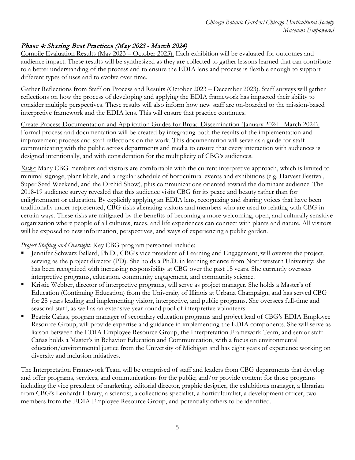# Phase 4: Sharing Best Practices (May 2023 - March 2024)

Compile Evaluation Results (May 2023 – October 2023). Each exhibition will be evaluated for outcomes and audience impact. These results will be synthesized as they are collected to gather lessons learned that can contribute to a better understanding of the process and to ensure the EDIA lens and process is flexible enough to support different types of uses and to evolve over time.

Gather Reflections from Staff on Process and Results (October 2023 – December 2023). Staff surveys will gather reflections on how the process of developing and applying the EDIA framework has impacted their ability to consider multiple perspectives. These results will also inform how new staff are on-boarded to the mission-based interpretive framework and the EDIA lens. This will ensure that practice continues.

Create Process Documentation and Application Guides for Broad Dissemination (January 2024 - March 2024). Formal process and documentation will be created by integrating both the results of the implementation and improvement process and staff reflections on the work. This documentation will serve as a guide for staff communicating with the public across departments and media to ensure that every interaction with audiences is designed intentionally, and with consideration for the multiplicity of CBG's audiences.

*Risks:* Many CBG members and visitors are comfortable with the current interpretive approach, which is limited to minimal signage, plant labels, and a regular schedule of horticultural events and exhibitions (e.g. Harvest Festival, Super Seed Weekend, and the Orchid Show), plus communications oriented toward the dominant audience. The 2018-19 audience survey revealed that this audience visits CBG for its peace and beauty rather than for enlightenment or education. By explicitly applying an EDIA lens, recognizing and sharing voices that have been traditionally under-represented, CBG risks alienating visitors and members who are used to relating with CBG in certain ways. These risks are mitigated by the benefits of becoming a more welcoming, open, and culturally sensitive organization where people of all cultures, races, and life experiences can connect with plants and nature. All visitors will be exposed to new information, perspectives, and ways of experiencing a public garden.

#### *Project Staffing and Oversight:* Key CBG program personnel include:

- Jennifer Schwarz Ballard, Ph.D., CBG's vice president of Learning and Engagement, will oversee the project, serving as the project director (PD). She holds a Ph.D. in learning science from Northwestern University; she has been recognized with increasing responsibility at CBG over the past 15 years. She currently oversees interpretive programs, education, community engagement, and community science.
- Kristie Webber, director of interpretive programs, will serve as project manager. She holds a Master's of Education (Continuing Education) from the University of Illinois at Urbana Champaign, and has served CBG for 28 years leading and implementing visitor, interpretive, and public programs. She oversees full-time and seasonal staff, as well as an extensive year-round pool of interpretive volunteers.
- Beatriz Cañas, program manager of secondary education programs and project lead of CBG's EDIA Employee Resource Group, will provide expertise and guidance in implementing the EDIA components. She will serve as liaison between the EDIA Employee Resource Group, the Interpretation Framework Team, and senior staff. Cañas holds a Master's in Behavior Education and Communication, with a focus on environmental education/environmental justice from the University of Michigan and has eight years of experience working on diversity and inclusion initiatives.

The Interpretation Framework Team will be comprised of staff and leaders from CBG departments that develop and offer programs, services, and communications for the public; and/or provide content for those programs including the vice president of marketing, editorial director, graphic designer, the exhibitions manager, a librarian from CBG's Lenhardt Library, a scientist, a collections specialist, a horticulturalist, a development officer, two members from the EDIA Employee Resource Group, and potentially others to be identified.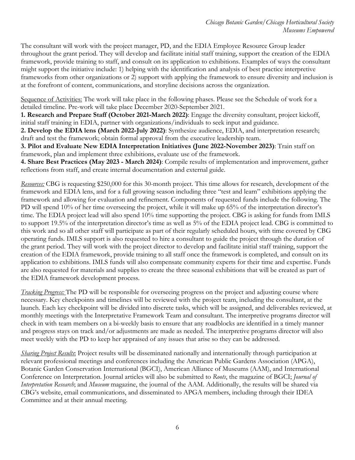The consultant will work with the project manager, PD, and the EDIA Employee Resource Group leader throughout the grant period. They will develop and facilitate initial staff training, support the creation of the EDIA framework, provide training to staff, and consult on its application to exhibitions. Examples of ways the consultant might support the initiative include: 1) helping with the identification and analysis of best practice interpretive frameworks from other organizations or 2) support with applying the framework to ensure diversity and inclusion is at the forefront of content, communications, and storyline decisions across the organization.

Sequence of Activities: The work will take place in the following phases. Please see the Schedule of work for a detailed timeline. Pre-work will take place December 2020-September 2021.

**1. Research and Prepare Staff (October 2021-March 2022)**: Engage the diversity consultant, project kickoff, initial staff training in EDIA, partner with organizations/individuals to seek input and guidance.

**2. Develop the EDIA lens (March 2022-July 2022)**: Synthesize audience, EDIA, and interpretation research; draft and test the framework; obtain formal approval from the executive leadership team.

**3. Pilot and Evaluate New EDIA Interpretation Initiatives (June 2022-November 2023)**: Train staff on framework, plan and implement three exhibitions, evaluate use of the framework.

**4. Share Best Practices (May 2023 - March 2024)**: Compile results of implementation and improvement, gather reflections from staff, and create internal documentation and external guide.

*Resources:* CBG is requesting \$250,000 for this 30-month project. This time allows for research, development of the framework and EDIA lens, and for a full growing season including three "test and learn" exhibitions applying the framework and allowing for evaluation and refinement. Components of requested funds include the following. The PD will spend 10% of her time overseeing the project, while it will make up 65% of the interpretation director's time. The EDIA project lead will also spend 10% time supporting the project. CBG is asking for funds from IMLS to support 19.5% of the interpretation director's time as well as 5% of the EDIA project lead. CBG is committed to this work and so all other staff will participate as part of their regularly scheduled hours, with time covered by CBG operating funds. IMLS support is also requested to hire a consultant to guide the project through the duration of the grant period. They will work with the project director to develop and facilitate initial staff training, support the creation of the EDIA framework, provide training to all staff once the framework is completed, and consult on its application to exhibitions. IMLS funds will also compensate community experts for their time and expertise. Funds are also requested for materials and supplies to create the three seasonal exhibitions that will be created as part of the EDIA framework development process.

*Tracking Progress:* The PD will be responsible for overseeing progress on the project and adjusting course where necessary. Key checkpoints and timelines will be reviewed with the project team, including the consultant, at the launch. Each key checkpoint will be divided into discrete tasks, which will be assigned, and deliverables reviewed, at monthly meetings with the Interpretative Framework Team and consultant. The interpretive programs director will check in with team members on a bi-weekly basis to ensure that any roadblocks are identified in a timely manner and progress stays on track and/or adjustments are made as needed. The interpretive programs director will also meet weekly with the PD to keep her appraised of any issues that arise so they can be addressed.

*Sharing Project Results*: Project results will be disseminated nationally and internationally through participation at relevant professional meetings and conferences including the American Public Gardens Association (APGA), Botanic Garden Conservation International (BGCI), American Alliance of Museums (AAM), and International Conference on Interpretation. Journal articles will also be submitted to *Roots*, the magazine of BGCI; *Journal of Interpretation Research*; and *Museum* magazine, the journal of the AAM. Additionally, the results will be shared via CBG's website, email communications, and disseminated to APGA members, including through their IDEA Committee and at their annual meeting.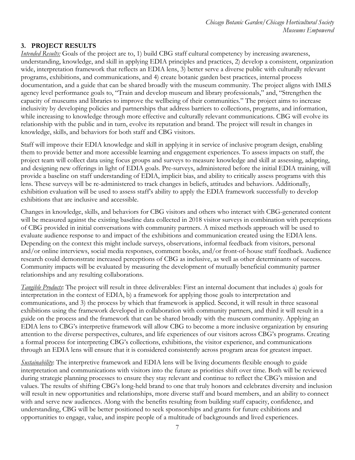#### **3. PROJECT RESULTS**

*Intended Results:* Goals of the project are to, 1) build CBG staff cultural competency by increasing awareness, understanding, knowledge, and skill in applying EDIA principles and practices, 2) develop a consistent, organization wide, interpretation framework that reflects an EDIA lens, 3) better serve a diverse public with culturally relevant programs, exhibitions, and communications, and 4) create botanic garden best practices, internal process documentation, and a guide that can be shared broadly with the museum community. The project aligns with IMLS agency level performance goals to, "Train and develop museum and library professionals," and, "Strengthen the capacity of museums and libraries to improve the wellbeing of their communities." The project aims to increase inclusivity by developing policies and partnerships that address barriers to collections, programs, and information, while increasing to knowledge through more effective and culturally relevant communications. CBG will evolve its relationship with the public and in turn, evolve its reputation and brand. The project will result in changes in knowledge, skills, and behaviors for both staff and CBG visitors.

Staff will improve their EDIA knowledge and skill in applying it in service of inclusive program design, enabling them to provide better and more accessible learning and engagement experiences. To assess impacts on staff, the project team will collect data using focus groups and surveys to measure knowledge and skill at assessing, adapting, and designing new offerings in light of EDIA goals. Pre-surveys, administered before the initial EDIA training, will provide a baseline on staff understanding of EDIA, implicit bias, and ability to critically assess programs with this lens. These surveys will be re-administered to track changes in beliefs, attitudes and behaviors. Additionally, exhibition evaluation will be used to assess staff's ability to apply the EDIA framework successfully to develop exhibitions that are inclusive and accessible.

Changes in knowledge, skills, and behaviors for CBG visitors and others who interact with CBG-generated content will be measured against the existing baseline data collected in 2018 visitor surveys in combination with perceptions of CBG provided in initial conversations with community partners. A mixed methods approach will be used to evaluate audience response to and impact of the exhibitions and communication created using the EDIA lens. Depending on the context this might include surveys, observations, informal feedback from visitors, personal and/or online interviews, social media responses, comment books, and/or front-of-house staff feedback. Audience research could demonstrate increased perceptions of CBG as inclusive, as well as other determinants of success. Community impacts will be evaluated by measuring the development of mutually beneficial community partner relationships and any resulting collaborations.

*Tangible Products*: The project will result in three deliverables: First an internal document that includes a) goals for interpretation in the context of EDIA, b) a framework for applying those goals to interpretation and communications, and 3) the process by which that framework is applied. Second, it will result in three seasonal exhibitions using the framework developed in collaboration with community partners, and third it will result in a guide on the process and the framework that can be shared broadly with the museum community. Applying an EDIA lens to CBG's interpretive framework will allow CBG to become a more inclusive organization by ensuring attention to the diverse perspectives, cultures, and life experiences of our visitors across CBG's programs. Creating a formal process for interpreting CBG's collections, exhibitions, the visitor experience, and communications through an EDIA lens will ensure that it is considered consistently across program areas for greatest impact.

*Sustainability*: The interpretive framework and EDIA lens will be living documents flexible enough to guide interpretation and communications with visitors into the future as priorities shift over time. Both will be reviewed during strategic planning processes to ensure they stay relevant and continue to reflect the CBG's mission and values. The results of shifting CBG's long-held brand to one that truly honors and celebrates diversity and inclusion will result in new opportunities and relationships, more diverse staff and board members, and an ability to connect with and serve new audiences. Along with the benefits resulting from building staff capacity, confidence, and understanding, CBG will be better positioned to seek sponsorships and grants for future exhibitions and opportunities to engage, value, and inspire people of a multitude of backgrounds and lived experiences.